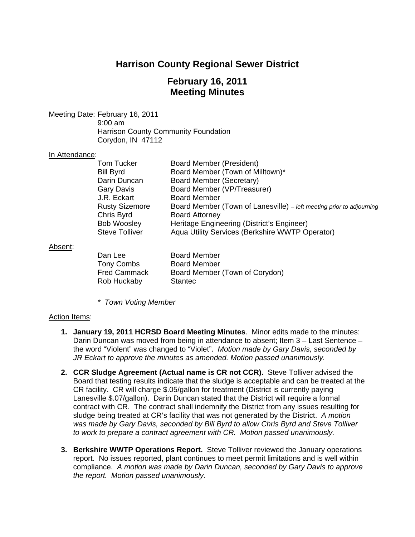# **Harrison County Regional Sewer District**

## **February 16, 2011 Meeting Minutes**

Meeting Date: February 16, 2011 9:00 am Harrison County Community Foundation Corydon, IN 47112

#### In Attendance:

| Tom Tucker            | Board Member (President)                                             |
|-----------------------|----------------------------------------------------------------------|
| Bill Byrd             | Board Member (Town of Milltown)*                                     |
| Darin Duncan          | Board Member (Secretary)                                             |
| Gary Davis            | Board Member (VP/Treasurer)                                          |
| J.R. Eckart           | <b>Board Member</b>                                                  |
| <b>Rusty Sizemore</b> | Board Member (Town of Lanesville) – left meeting prior to adjourning |
| Chris Byrd            | <b>Board Attorney</b>                                                |
| <b>Bob Woosley</b>    | Heritage Engineering (District's Engineer)                           |
| <b>Steve Tolliver</b> | Aqua Utility Services (Berkshire WWTP Operator)                      |

#### Absent:

| Dan Lee             | <b>Board Member</b>            |
|---------------------|--------------------------------|
| Tony Combs          | <b>Board Member</b>            |
| <b>Fred Cammack</b> | Board Member (Town of Corydon) |
| Rob Huckaby         | <b>Stantec</b>                 |

*\* Town Voting Member*

### Action Items:

- **1. January 19, 2011 HCRSD Board Meeting Minutes**. Minor edits made to the minutes: Darin Duncan was moved from being in attendance to absent; Item 3 – Last Sentence – the word "Violent" was changed to "Violet". *Motion made by Gary Davis, seconded by JR Eckart to approve the minutes as amended. Motion passed unanimously.*
- **2. CCR Sludge Agreement (Actual name is CR not CCR).** Steve Tolliver advised the Board that testing results indicate that the sludge is acceptable and can be treated at the CR facility. CR will charge \$.05/gallon for treatment (District is currently paying Lanesville \$.07/gallon). Darin Duncan stated that the District will require a formal contract with CR. The contract shall indemnify the District from any issues resulting for sludge being treated at CR's facility that was not generated by the District. *A motion was made by Gary Davis, seconded by Bill Byrd to allow Chris Byrd and Steve Tolliver to work to prepare a contract agreement with CR. Motion passed unanimously.*
- **3. Berkshire WWTP Operations Report.** Steve Tolliver reviewed the January operations report. No issues reported, plant continues to meet permit limitations and is well within compliance. *A motion was made by Darin Duncan, seconded by Gary Davis to approve the report. Motion passed unanimously.*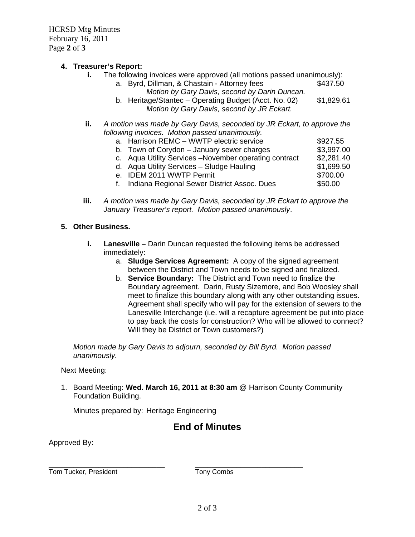HCRSD Mtg Minutes February 16, 2011 Page **2** of **3**

# **4. Treasurer's Report:**

- The following invoices were approved (all motions passed unanimously):<br>a. Byrd. Dillman. & Chastain Attorney fees \$437.50
	- a. Byrd, Dillman, & Chastain Attorney fees *Motion by Gary Davis, second by Darin Duncan.*
	- b. Heritage/Stantec Operating Budget (Acct. No. 02) \$1,829.61 *Motion by Gary Davis, second by JR Eckart.*
- **ii.** *A motion was made by Gary Davis, seconded by JR Eckart, to approve the following invoices. Motion passed unanimously.*

| a. Harrison REMC - WWTP electric service               | \$927.55   |
|--------------------------------------------------------|------------|
| b. Town of Corydon - January sewer charges             | \$3,997.00 |
| c. Aqua Utility Services - November operating contract | \$2,281.40 |
| d. Aqua Utility Services - Sludge Hauling              | \$1,699.50 |
| e. IDEM 2011 WWTP Permit                               | \$700.00   |

- f. Indiana Regional Sewer District Assoc. Dues \$50.00
- **iii.** *A motion was made by Gary Davis, seconded by JR Eckart to approve the January Treasurer's report. Motion passed unanimously*.

## **5. Other Business.**

- **i. Lanesville –** Darin Duncan requested the following items be addressed immediately:
	- a. **Sludge Services Agreement:** A copy of the signed agreement between the District and Town needs to be signed and finalized.
	- b. **Service Boundary:** The District and Town need to finalize the Boundary agreement. Darin, Rusty Sizemore, and Bob Woosley shall meet to finalize this boundary along with any other outstanding issues. Agreement shall specify who will pay for the extension of sewers to the Lanesville Interchange (i.e. will a recapture agreement be put into place to pay back the costs for construction? Who will be allowed to connect? Will they be District or Town customers?)

*Motion made by Gary Davis to adjourn, seconded by Bill Byrd. Motion passed unanimously.*

### Next Meeting:

1. Board Meeting: **Wed. March 16, 2011 at 8:30 am** @ Harrison County Community Foundation Building.

Minutes prepared by: Heritage Engineering

## **End of Minutes**

Approved By:

\_\_\_\_\_\_\_\_\_\_\_\_\_\_\_\_\_\_\_\_\_\_\_\_\_\_\_\_ \_\_\_\_\_\_\_\_\_\_\_\_\_\_\_\_\_\_\_\_\_\_\_\_\_\_ Tom Tucker, President Tony Combs